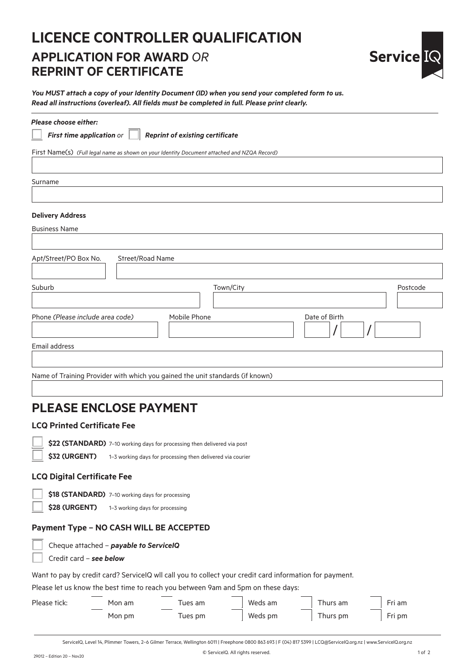## **LICENCE CONTROLLER QUALIFICATION APPLICATION FOR AWARD** *OR* **REPRINT OF CERTIFICATE**



*You MUST attach a copy of your Identity Document (ID) when you send your completed form to us. Read all instructions (overleaf). All fields must be completed in full. Please print clearly.*

| <b>Please choose either:</b> |  |
|------------------------------|--|
|                              |  |

*First time application or Reprint of existing certificate*

First Name(s) *(Full legal name as shown on your Identity Document attached and NZQA Record)*

Surname

#### **Delivery Address**

Business Name

| Apt/Street/PO Box No.                                                         | Street/Road Name |              |               |          |
|-------------------------------------------------------------------------------|------------------|--------------|---------------|----------|
| Suburb                                                                        |                  | Town/City    |               | Postcode |
| Phone (Please include area code)                                              |                  | Mobile Phone | Date of Birth |          |
| Email address                                                                 |                  |              |               |          |
| Name of Training Provider with which you gained the unit standards (if known) |                  |              |               |          |

## **PLEASE ENCLOSE PAYMENT**

#### **LCQ Printed Certificate Fee**



 **\$22 (STANDARD)** 7–10 working days for processing then delivered via post

\$32 **(URGENT)** 1-3 working days for processing then delivered via courier

#### **LCQ Digital Certificate Fee**

 **\$18 (STANDARD)** 7–10 working days for processing

 **\$28 (URGENT)** 1–3 working days for processing

#### **Payment Type – NO CASH WILL BE ACCEPTED**

Cheque attached – *payable to ServiceIQ*

#### Credit card – *see below*

Want to pay by credit card? ServiceIQ wll call you to collect your credit card information for payment.

Please let us know the best time to reach you between 9am and 5pm on these days:

| Please tick: | Mon am | Tues am | Weds am | Thurs am | Fri am |
|--------------|--------|---------|---------|----------|--------|
|              | Mon pm | Tues pm | Weds pm | Thurs pm | Fri pm |

ServiceIQ, Level 14, Plimmer Towers, 2–6 Gilmer Terrace, Wellington 6011 | Freephone 0800 863 693 | F (04) 817 5399 | LCQ@ServiceIQ.org.nz | www.ServiceIQ.org.nz